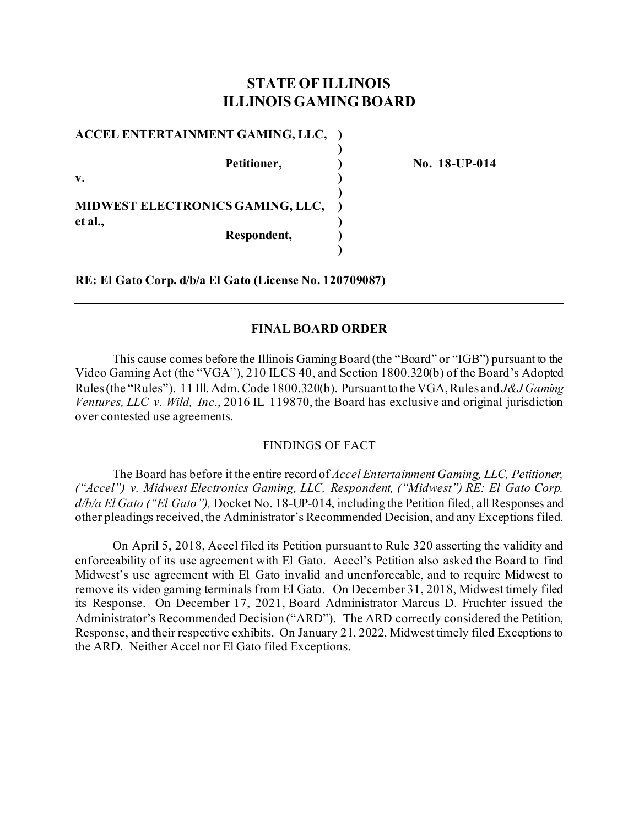# **STATE OF ILLINOIS ILLINOIS GAMING BOARD**

**)**

**)**

**)**

**ACCEL ENTERTAINMENT GAMING, LLC, )**

**v. )** 

**MIDWEST ELECTRONICS GAMING, LLC, ) et al., ) Respondent, )**

**Petitioner, ) No. 18-UP-014**

**RE: El Gato Corp. d/b/a El Gato (License No. 120709087)**

## **FINAL BOARD ORDER**

This cause comes before the Illinois Gaming Board (the "Board" or "IGB") pursuant to the Video Gaming Act (the "VGA"), 210 ILCS 40, and Section 1800.320(b) of the Board's Adopted Rules (the "Rules"). 11 Ill. Adm. Code 1800.320(b). Pursuant to the VGA, Rules and *J&J Gaming Ventures, LLC v. Wild, Inc.*, 2016 IL 119870, the Board has exclusive and original jurisdiction over contested use agreements.

### FINDINGS OF FACT

The Board has before it the entire record of *Accel Entertainment Gaming, LLC, Petitioner, ("Accel") v. Midwest Electronics Gaming, LLC, Respondent, ("Midwest") RE: El Gato Corp. d/b/a El Gato ("El Gato"),* Docket No. 18-UP-014, including the Petition filed, all Responses and other pleadings received, the Administrator's Recommended Decision, and any Exceptions filed.

On April 5, 2018, Accel filed its Petition pursuant to Rule 320 asserting the validity and enforceability of its use agreement with El Gato. Accel's Petition also asked the Board to find Midwest's use agreement with El Gato invalid and unenforceable, and to require Midwest to remove its video gaming terminals from El Gato. On December 31, 2018, Midwest timely filed its Response. On December 17, 2021, Board Administrator Marcus D. Fruchter issued the Administrator's Recommended Decision ("ARD"). The ARD correctly considered the Petition, Response, and their respective exhibits. On January 21, 2022, Midwest timely filed Exceptions to the ARD. Neither Accel nor El Gato filed Exceptions.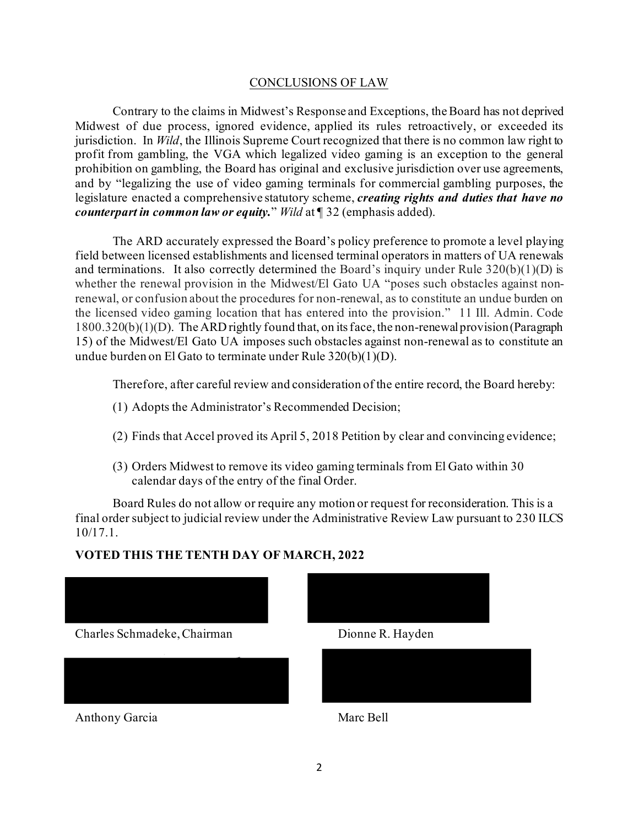### CONCLUSIONS OF LAW

Contrary to the claims in Midwest's Response and Exceptions, the Board has not deprived Midwest of due process, ignored evidence, applied its rules retroactively, or exceeded its jurisdiction. In *Wild*, the Illinois Supreme Court recognized that there is no common law right to profit from gambling, the VGA which legalized video gaming is an exception to the general prohibition on gambling, the Board has original and exclusive jurisdiction over use agreements, and by "legalizing the use of video gaming terminals for commercial gambling purposes, the legislature enacted a comprehensive statutory scheme, *creating rights and duties that have no counterpart in common law or equity.*" *Wild* at ¶ 32 (emphasis added).

The ARD accurately expressed the Board's policy preference to promote a level playing field between licensed establishments and licensed terminal operators in matters of UA renewals and terminations. It also correctly determined the Board's inquiry under Rule  $320(b)(1)(D)$  is whether the renewal provision in the Midwest/El Gato UA "poses such obstacles against nonrenewal, or confusion about the procedures for non-renewal, as to constitute an undue burden on the licensed video gaming location that has entered into the provision." 11 Ill. Admin. Code 1800.320(b)(1)(D). The ARD rightly found that, on its face, the non-renewal provision (Paragraph 15) of the Midwest/El Gato UA imposes such obstacles against non-renewal as to constitute an undue burden on El Gato to terminate under Rule 320(b)(1)(D).

Therefore, after careful review and consideration of the entire record, the Board hereby:

- (1) Adopts the Administrator's Recommended Decision;
- (2) Finds that Accel proved its April 5, 2018 Petition by clear and convincing evidence;
- (3) Orders Midwest to remove its video gaming terminals from El Gato within 30 calendar days of the entry of the final Order.

Board Rules do not allow or require any motion or request for reconsideration. This is a final order subject to judicial review under the Administrative Review Law pursuant to 230 ILCS 10/17.1.

## **VOTED THIS THE TENTH DAY OF MARCH, 2022**

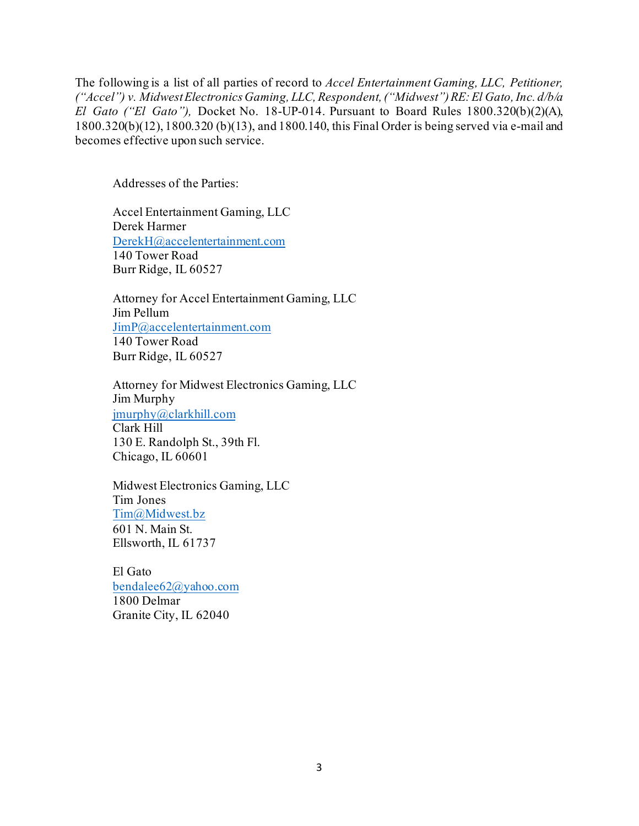The following is a list of all parties of record to *Accel Entertainment Gaming, LLC, Petitioner, ("Accel") v. Midwest ElectronicsGaming, LLC, Respondent, ("Midwest") RE:El Gato, Inc. d/b/a El Gato ("El Gato"),* Docket No. 18-UP-014. Pursuant to Board Rules 1800.320(b)(2)(A), 1800.320(b)(12), 1800.320 (b)(13), and 1800.140, this Final Order is being served via e-mail and becomes effective upon such service.

Addresses of the Parties:

Accel Entertainment Gaming, LLC Derek Harmer [DerekH@accelentertainment.com](mailto:DerekH@accelentertainment.com) 140 Tower Road Burr Ridge, IL 60527

Attorney for Accel Entertainment Gaming, LLC Jim Pellum [JimP@accelentertainment.com](mailto:JimP@accelentertainment.com) 140 Tower Road Burr Ridge, IL 60527

Attorney for Midwest Electronics Gaming, LLC Jim Murphy [jmurphy@clarkhill.com](mailto:jmurphy@clarkhill.com) Clark Hill 130 E. Randolph St., 39th Fl. Chicago, IL 60601

Midwest Electronics Gaming, LLC Tim Jones [Tim@Midwest.bz](mailto:Tim@Midwest.bz) 601 N. Main St. Ellsworth, IL 61737

El Gato [bendalee62@yahoo.com](mailto:bendalee62@yahoo.com) 1800 Delmar Granite City, IL 62040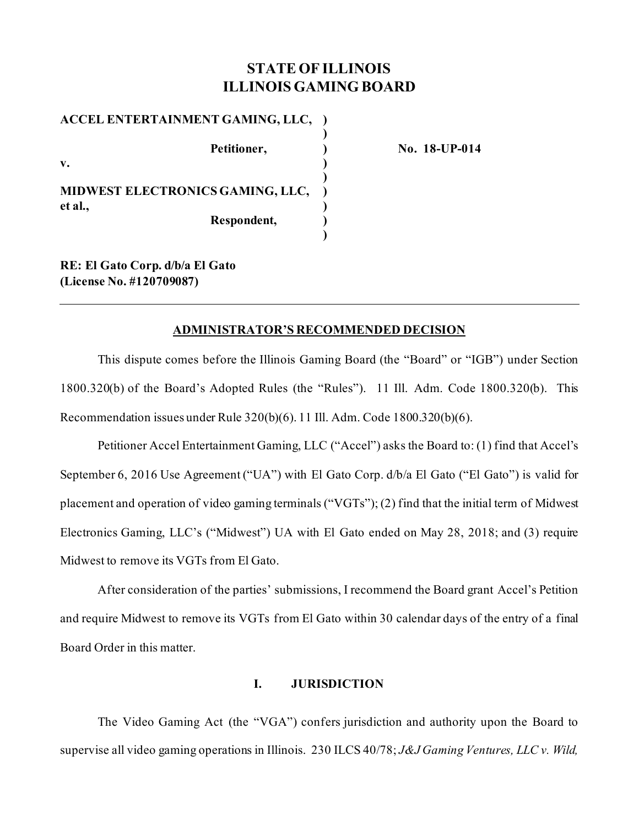# **STATE OF ILLINOIS ILLINOIS GAMING BOARD**

**)**

**)**

**)**

**ACCEL ENTERTAINMENT GAMING, LLC, ) Petitioner, ) No. 18-UP-014 v. ) MIDWEST ELECTRONICS GAMING, LLC, ) et al., ) Respondent, )**

**RE: El Gato Corp. d/b/a El Gato (License No. #120709087)**

### **ADMINISTRATOR'S RECOMMENDED DECISION**

This dispute comes before the Illinois Gaming Board (the "Board" or "IGB") under Section 1800.320(b) of the Board's Adopted Rules (the "Rules"). 11 Ill. Adm. Code 1800.320(b). This Recommendation issues under Rule 320(b)(6). 11 Ill. Adm. Code 1800.320(b)(6).

Petitioner Accel Entertainment Gaming, LLC ("Accel") asks the Board to: (1) find that Accel's September 6, 2016 Use Agreement ("UA") with El Gato Corp. d/b/a El Gato ("El Gato") is valid for placement and operation of video gaming terminals ("VGTs"); (2) find that the initial term of Midwest Electronics Gaming, LLC's ("Midwest") UA with El Gato ended on May 28, 2018; and (3) require Midwest to remove its VGTs from El Gato.

After consideration of the parties' submissions, I recommend the Board grant Accel's Petition and require Midwest to remove its VGTs from El Gato within 30 calendar days of the entry of a final Board Order in this matter.

# **I. JURISDICTION**

The Video Gaming Act (the "VGA") confers jurisdiction and authority upon the Board to supervise all video gaming operations in Illinois. 230 ILCS 40/78; *J&J Gaming Ventures, LLC v. Wild,*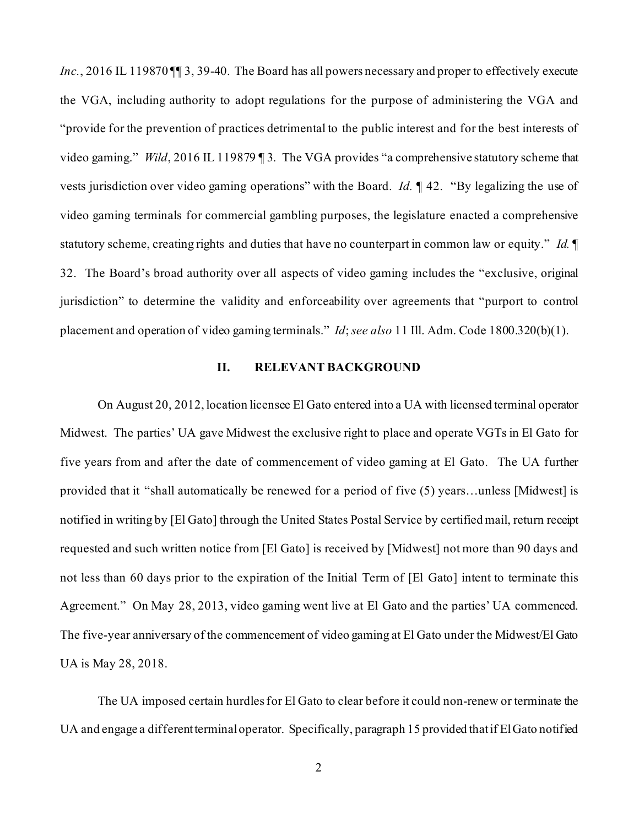*Inc.*, 2016 IL 119870 III 3, 39-40. The Board has all powers necessary and proper to effectively execute the VGA, including authority to adopt regulations for the purpose of administering the VGA and "provide for the prevention of practices detrimental to the public interest and for the best interests of video gaming." *Wild*, 2016 IL 119879 ¶ 3*.* The VGA provides "a comprehensive statutory scheme that vests jurisdiction over video gaming operations" with the Board. *Id.* ¶ 42. "By legalizing the use of video gaming terminals for commercial gambling purposes, the legislature enacted a comprehensive statutory scheme, creating rights and duties that have no counterpart in common law or equity." *Id.* ¶ 32. The Board's broad authority over all aspects of video gaming includes the "exclusive, original jurisdiction" to determine the validity and enforceability over agreements that "purport to control placement and operation of video gaming terminals." *Id*; *see also* 11 Ill. Adm. Code 1800.320(b)(1).

### **II. RELEVANT BACKGROUND**

On August 20, 2012, location licensee El Gato entered into a UA with licensed terminal operator Midwest. The parties' UA gave Midwest the exclusive right to place and operate VGTs in El Gato for five years from and after the date of commencement of video gaming at El Gato. The UA further provided that it "shall automatically be renewed for a period of five (5) years…unless [Midwest] is notified in writing by [El Gato] through the United States Postal Service by certified mail, return receipt requested and such written notice from [El Gato] is received by [Midwest] not more than 90 days and not less than 60 days prior to the expiration of the Initial Term of [El Gato] intent to terminate this Agreement." On May 28, 2013, video gaming went live at El Gato and the parties' UA commenced. The five-year anniversary of the commencement of video gaming at El Gato under the Midwest/El Gato UA is May 28, 2018.

The UA imposed certain hurdles for El Gato to clear before it could non-renew or terminate the UA and engage a different terminal operator. Specifically, paragraph 15 provided that if El Gato notified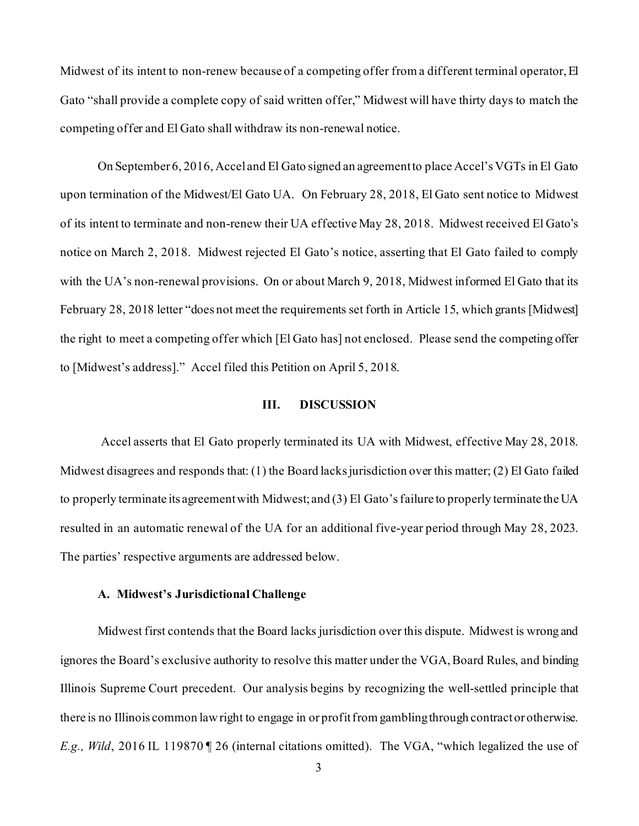Midwest of its intent to non-renew because of a competing offer from a different terminal operator, El Gato "shall provide a complete copy of said written offer," Midwest will have thirty days to match the competing offer and El Gato shall withdraw its non-renewal notice.

On September 6, 2016, Accel and El Gato signed an agreement to place Accel's VGTs in El Gato upon termination of the Midwest/El Gato UA. On February 28, 2018, El Gato sent notice to Midwest of its intent to terminate and non-renew their UA effective May 28, 2018. Midwest received El Gato's notice on March 2, 2018. Midwest rejected El Gato's notice, asserting that El Gato failed to comply with the UA's non-renewal provisions. On or about March 9, 2018, Midwest informed El Gato that its February 28, 2018 letter "does not meet the requirements set forth in Article 15, which grants [Midwest] the right to meet a competing offer which [El Gato has] not enclosed. Please send the competing offer to [Midwest's address]." Accel filed this Petition on April 5, 2018.

#### **III. DISCUSSION**

Accel asserts that El Gato properly terminated its UA with Midwest, effective May 28, 2018. Midwest disagrees and responds that: (1) the Board lacks jurisdiction over this matter; (2) El Gato failed to properly terminate its agreement with Midwest; and (3) El Gato'sfailure to properly terminate the UA resulted in an automatic renewal of the UA for an additional five-year period through May 28, 2023. The parties' respective arguments are addressed below.

#### **A. Midwest's Jurisdictional Challenge**

Midwest first contends that the Board lacks jurisdiction over this dispute. Midwest is wrong and ignores the Board's exclusive authority to resolve this matter under the VGA, Board Rules, and binding Illinois Supreme Court precedent. Our analysis begins by recognizing the well-settled principle that there is no Illinois common law right to engage in or profit from gambling through contract or otherwise. *E.g., Wild*, 2016 IL 119870 ¶ 26 (internal citations omitted). The VGA, "which legalized the use of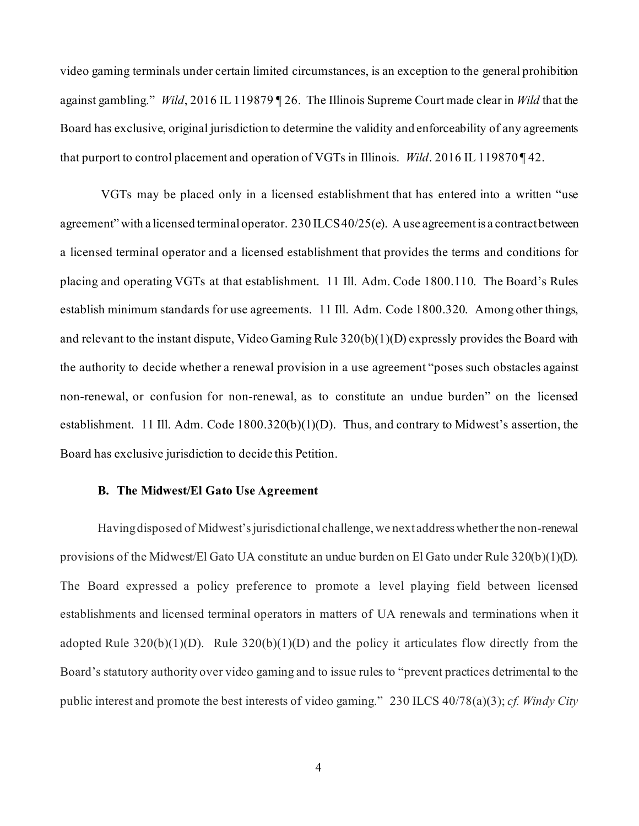video gaming terminals under certain limited circumstances, is an exception to the general prohibition against gambling." *Wild*, 2016 IL 119879 ¶ 26. The Illinois Supreme Court made clear in *Wild* that the Board has exclusive, original jurisdiction to determine the validity and enforceability of any agreements that purport to control placement and operation of VGTs in Illinois. *Wild*. 2016 IL 119870 ¶ 42.

VGTs may be placed only in a licensed establishment that has entered into a written "use agreement" with a licensed terminal operator. 230 ILCS 40/25(e). A use agreement is a contract between a licensed terminal operator and a licensed establishment that provides the terms and conditions for placing and operating VGTs at that establishment. 11 Ill. Adm. Code 1800.110. The Board's Rules establish minimum standards for use agreements. 11 Ill. Adm. Code 1800.320. Among other things, and relevant to the instant dispute, Video Gaming Rule 320(b)(1)(D) expressly provides the Board with the authority to decide whether a renewal provision in a use agreement "poses such obstacles against non-renewal, or confusion for non-renewal, as to constitute an undue burden" on the licensed establishment. 11 Ill. Adm. Code 1800.320(b)(1)(D). Thus, and contrary to Midwest's assertion, the Board has exclusive jurisdiction to decide this Petition.

#### **B. The Midwest/El Gato Use Agreement**

Having disposed of Midwest's jurisdictional challenge, we next address whether the non-renewal provisions of the Midwest/El Gato UA constitute an undue burden on El Gato under Rule 320(b)(1)(D). The Board expressed a policy preference to promote a level playing field between licensed establishments and licensed terminal operators in matters of UA renewals and terminations when it adopted Rule  $320(b)(1)(D)$ . Rule  $320(b)(1)(D)$  and the policy it articulates flow directly from the Board's statutory authority over video gaming and to issue rules to "prevent practices detrimental to the public interest and promote the best interests of video gaming." 230 ILCS 40/78(a)(3); *cf. Windy City*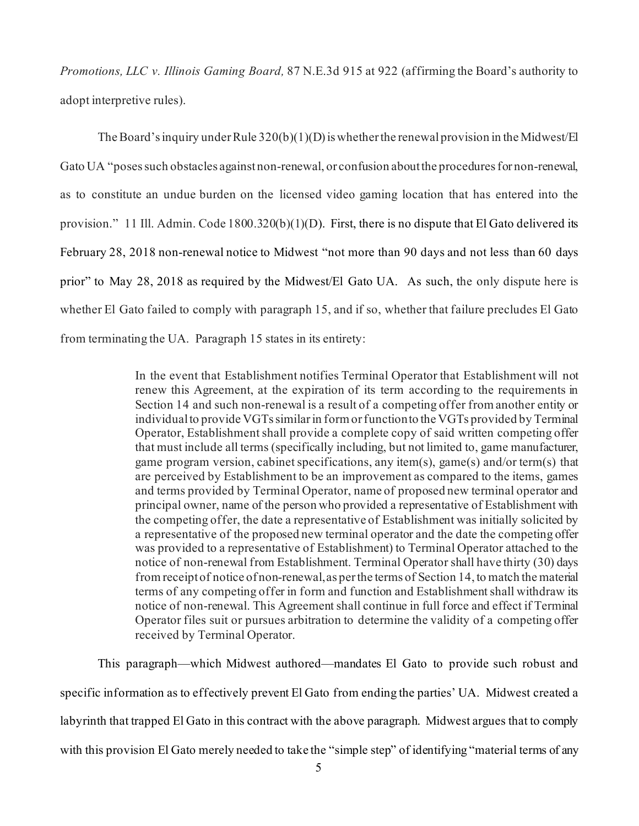*Promotions, LLC v. Illinois Gaming Board,* 87 N.E.3d 915 at 922 (affirming the Board's authority to adopt interpretive rules).

The Board's inquiry under Rule 320(b)(1)(D) is whether the renewal provision in the Midwest/El Gato UA "poses such obstacles against non-renewal, or confusion about the procedures for non-renewal, as to constitute an undue burden on the licensed video gaming location that has entered into the provision." 11 Ill. Admin. Code 1800.320(b)(1)(D). First, there is no dispute that El Gato delivered its February 28, 2018 non-renewal notice to Midwest "not more than 90 days and not less than 60 days prior" to May 28, 2018 as required by the Midwest/El Gato UA. As such, the only dispute here is whether El Gato failed to comply with paragraph 15, and if so, whether that failure precludes El Gato from terminating the UA. Paragraph 15 states in its entirety:

> In the event that Establishment notifies Terminal Operator that Establishment will not renew this Agreement, at the expiration of its term according to the requirements in Section 14 and such non-renewal is a result of a competing offer from another entity or individual to provide VGTs similar in form or function to the VGTs provided by Terminal Operator, Establishment shall provide a complete copy of said written competing offer that must include all terms (specifically including, but not limited to, game manufacturer, game program version, cabinet specifications, any item(s), game(s) and/or term(s) that are perceived by Establishment to be an improvement as compared to the items, games and terms provided by Terminal Operator, name of proposed new terminal operator and principal owner, name of the person who provided a representative of Establishment with the competing offer, the date a representative of Establishment was initially solicited by a representative of the proposed new terminal operator and the date the competing offer was provided to a representative of Establishment) to Terminal Operator attached to the notice of non-renewal from Establishment. Terminal Operator shall have thirty (30) days from receipt of notice of non-renewal, as per the terms of Section 14, to match the material terms of any competing offer in form and function and Establishment shall withdraw its notice of non-renewal. This Agreement shall continue in full force and effect if Terminal Operator files suit or pursues arbitration to determine the validity of a competing offer received by Terminal Operator.

This paragraph—which Midwest authored—mandates El Gato to provide such robust and specific information as to effectively prevent El Gato from ending the parties' UA. Midwest created a labyrinth that trapped El Gato in this contract with the above paragraph. Midwest argues that to comply with this provision El Gato merely needed to take the "simple step" of identifying "material terms of any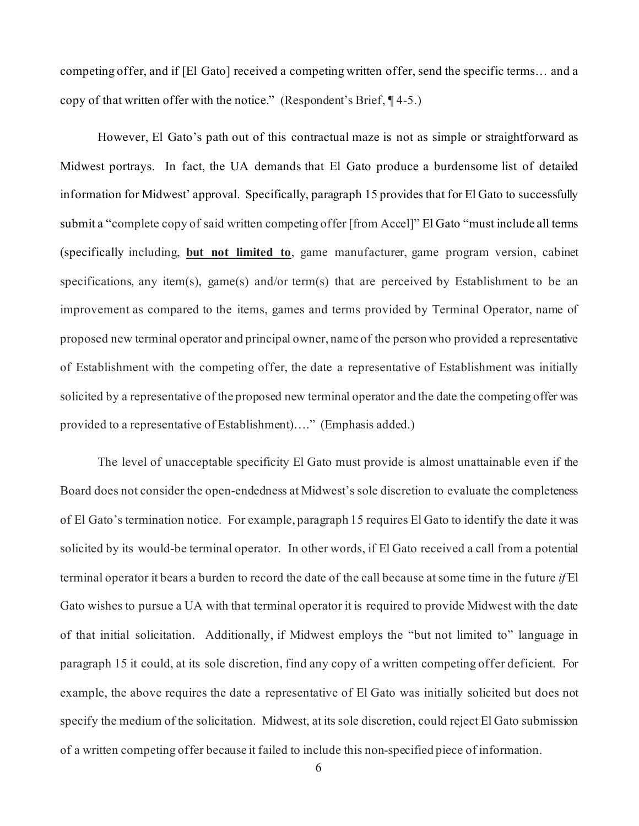competing offer, and if [El Gato] received a competing written offer, send the specific terms… and a copy of that written offer with the notice." (Respondent's Brief, ¶ 4-5.)

However, El Gato's path out of this contractual maze is not as simple or straightforward as Midwest portrays. In fact, the UA demands that El Gato produce a burdensome list of detailed information for Midwest' approval. Specifically, paragraph 15 provides that for El Gato to successfully submit a "complete copy of said written competing offer [from Accel]" El Gato "must include all terms (specifically including, **but not limited to**, game manufacturer, game program version, cabinet specifications, any item(s), game(s) and/or term(s) that are perceived by Establishment to be an improvement as compared to the items, games and terms provided by Terminal Operator, name of proposed new terminal operator and principal owner, name of the person who provided a representative of Establishment with the competing offer, the date a representative of Establishment was initially solicited by a representative of the proposed new terminal operator and the date the competing offer was provided to a representative of Establishment)…." (Emphasis added.)

The level of unacceptable specificity El Gato must provide is almost unattainable even if the Board does not consider the open-endedness at Midwest's sole discretion to evaluate the completeness of El Gato's termination notice. For example, paragraph 15 requires El Gato to identify the date it was solicited by its would-be terminal operator. In other words, if El Gato received a call from a potential terminal operator it bears a burden to record the date of the call because at some time in the future *if* El Gato wishes to pursue a UA with that terminal operator it is required to provide Midwest with the date of that initial solicitation. Additionally, if Midwest employs the "but not limited to" language in paragraph 15 it could, at its sole discretion, find any copy of a written competing offer deficient. For example, the above requires the date a representative of El Gato was initially solicited but does not specify the medium of the solicitation. Midwest, at its sole discretion, could reject El Gato submission of a written competing offer because it failed to include this non-specified piece of information.